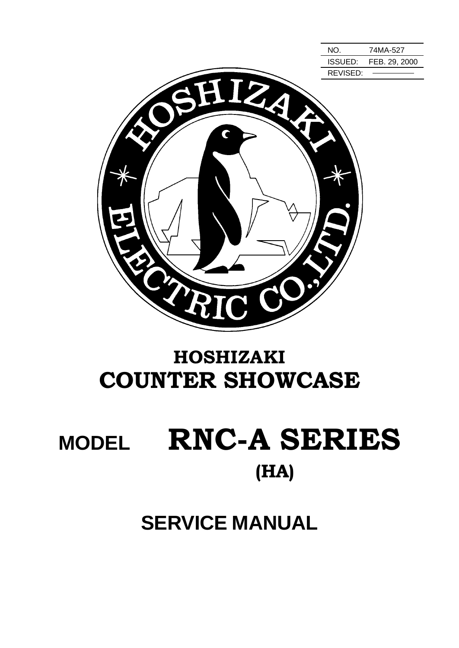

# HOSHIZAKI COUNTER SHOWCASE

# **MODEL RNC-A SERIES** (HA)

# **SERVICE MANUAL**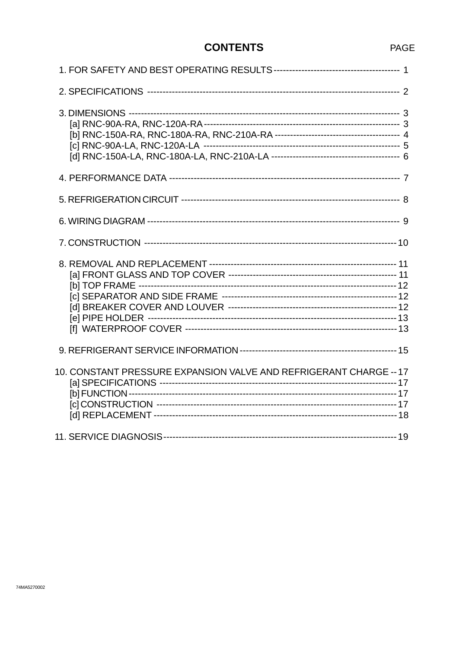### **CONTENTS**

| 10. CONSTANT PRESSURE EXPANSION VALVE AND REFRIGERANT CHARGE -- 17 |  |
|--------------------------------------------------------------------|--|
|                                                                    |  |

#### PAGE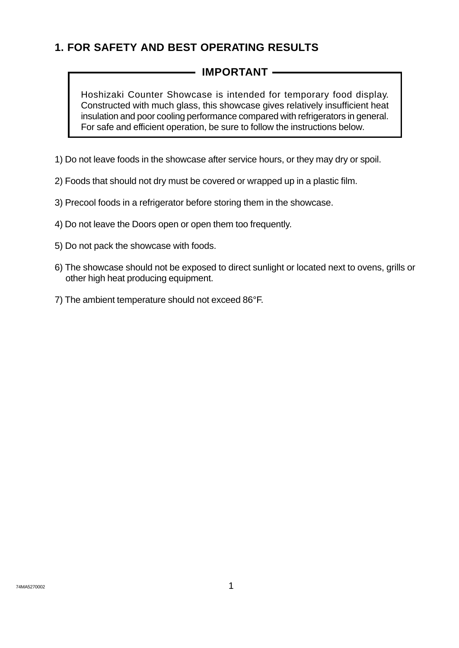# **1. FOR SAFETY AND BEST OPERATING RESULTS**

### **IMPORTANT**

Hoshizaki Counter Showcase is intended for temporary food display. Constructed with much glass, this showcase gives relatively insufficient heat insulation and poor cooling performance compared with refrigerators in general. For safe and efficient operation, be sure to follow the instructions below.

- 1) Do not leave foods in the showcase after service hours, or they may dry or spoil.
- 2) Foods that should not dry must be covered or wrapped up in a plastic film.
- 3) Precool foods in a refrigerator before storing them in the showcase.
- 4) Do not leave the Doors open or open them too frequently.
- 5) Do not pack the showcase with foods.
- 6) The showcase should not be exposed to direct sunlight or located next to ovens, grills or other high heat producing equipment.
- 7) The ambient temperature should not exceed 86°F.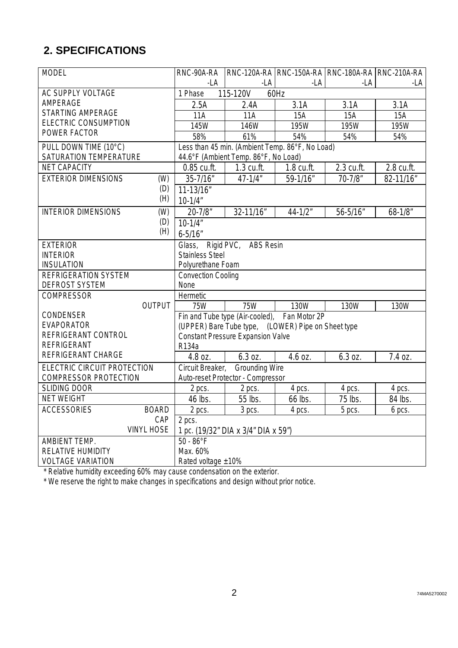# **2. SPECIFICATIONS**

| <b>MODEL</b>                                             | RNC-90A-RA                                         |                                                 |             |              | RNC-120A-RA   RNC-150A-RA   RNC-180A-RA   RNC-210A-RA |  |
|----------------------------------------------------------|----------------------------------------------------|-------------------------------------------------|-------------|--------------|-------------------------------------------------------|--|
|                                                          | -LA                                                | $-LA$                                           | -LA         | -LA          | -LA                                                   |  |
| AC SUPPLY VOLTAGE                                        | 1 Phase                                            | 115-120V<br>60Hz                                |             |              |                                                       |  |
| AMPERAGE                                                 | 2.5A                                               | 2.4A                                            | 3.1A        | 3.1A         | 3.1A                                                  |  |
| <b>STARTING AMPERAGE</b>                                 | $\overline{1}1A$                                   | 11A                                             | 15A         | 15A          | 15A                                                   |  |
| <b>ELECTRIC CONSUMPTION</b>                              | 145W                                               | 146W                                            | 195W        | 195W         | 195W                                                  |  |
| POWER FACTOR                                             | 58%                                                | 61%                                             | 54%         | 54%          | 54%                                                   |  |
| PULL DOWN TIME (10°C)                                    |                                                    | Less than 45 min. (Ambient Temp. 86°F, No Load) |             |              |                                                       |  |
| SATURATION TEMPERATURE                                   |                                                    | 44.6°F (Ambient Temp. 86°F, No Load)            |             |              |                                                       |  |
| <b>NET CAPACITY</b>                                      | 0.85 cu.ft.                                        | 1.3 cu.ft.                                      | 1.8 cu.ft.  | 2.3 cu.ft.   | 2.8 cu.ft.                                            |  |
| <b>EXTERIOR DIMENSIONS</b><br>(W)                        | $35 - 7/16"$                                       | $47 - 1/4$ "                                    | 59-1/16"    | $70 - 7/8$ " | 82-11/16"                                             |  |
| (D)                                                      | 11-13/16"                                          |                                                 |             |              |                                                       |  |
| (H)                                                      | $10 - 1/4"$                                        |                                                 |             |              |                                                       |  |
| <b>INTERIOR DIMENSIONS</b><br>(W)                        | $20 - 7/8$ "                                       | 32-11/16"                                       | $44 - 1/2"$ | 56-5/16"     | $68 - 1/8$ "                                          |  |
| (D)                                                      | $10 - 1/4$ "                                       |                                                 |             |              |                                                       |  |
| (H)                                                      | $6 - 5/16$ "                                       |                                                 |             |              |                                                       |  |
| <b>EXTERIOR</b>                                          | Glass,                                             | Rigid PVC, ABS Resin                            |             |              |                                                       |  |
| <b>INTERIOR</b>                                          |                                                    | <b>Stainless Steel</b>                          |             |              |                                                       |  |
| <b>INSULATION</b>                                        | Polyurethane Foam                                  |                                                 |             |              |                                                       |  |
| <b>REFRIGERATION SYSTEM</b><br><b>Convection Cooling</b> |                                                    |                                                 |             |              |                                                       |  |
| <b>DEFROST SYSTEM</b>                                    | None                                               |                                                 |             |              |                                                       |  |
| <b>COMPRESSOR</b>                                        | Hermetic                                           |                                                 |             |              |                                                       |  |
| <b>OUTPUT</b>                                            | <b>75W</b>                                         | 75W                                             | 130W        | 130W         | 130W                                                  |  |
| CONDENSER                                                | Fan Motor 2P<br>Fin and Tube type (Air-cooled),    |                                                 |             |              |                                                       |  |
| <b>EVAPORATOR</b>                                        | (UPPER) Bare Tube type, (LOWER) Pipe on Sheet type |                                                 |             |              |                                                       |  |
| REFRIGERANT CONTROL                                      | <b>Constant Pressure Expansion Valve</b>           |                                                 |             |              |                                                       |  |
| <b>REFRIGERANT</b>                                       | R134a                                              |                                                 |             |              |                                                       |  |
| REFRIGERANT CHARGE                                       | 4.8 oz.                                            | 6.3 oz.                                         | 4.6 oz.     | 6.3 oz.      | 7.4 oz.                                               |  |
| ELECTRIC CIRCUIT PROTECTION                              | Circuit Breaker,<br><b>Grounding Wire</b>          |                                                 |             |              |                                                       |  |
| <b>COMPRESSOR PROTECTION</b>                             |                                                    | Auto-reset Protector - Compressor               |             |              |                                                       |  |
| <b>SLIDING DOOR</b>                                      | 2 pcs.                                             | 2 pcs.                                          | 4 pcs.      | 4 pcs.       | 4 pcs.                                                |  |
| <b>NET WEIGHT</b>                                        | 46 lbs.                                            | 55 lbs.                                         | 66 lbs.     | 75 lbs.      | 84 lbs.                                               |  |
| <b>ACCESSORIES</b><br><b>BOARD</b>                       | 2 pcs.                                             | 3 pcs.                                          | 4 pcs.      | 5 pcs.       | 6 pcs.                                                |  |
| CAP                                                      | 2 pcs.                                             |                                                 |             |              |                                                       |  |
| <b>VINYL HOSE</b>                                        | 1 pc. (19/32" DIA x 3/4" DIA x 59")                |                                                 |             |              |                                                       |  |
| AMBIENT TEMP.                                            | $\overline{50 - 86^\circ F}$                       |                                                 |             |              |                                                       |  |
| <b>RELATIVE HUMIDITY</b>                                 | Max. 60%                                           |                                                 |             |              |                                                       |  |
| <b>VOLTAGE VARIATION</b>                                 | Rated voltage $±10\%$                              |                                                 |             |              |                                                       |  |

\* Relative humidity exceeding 60% may cause condensation on the exterior.

\* We reserve the right to make changes in specifications and design without prior notice.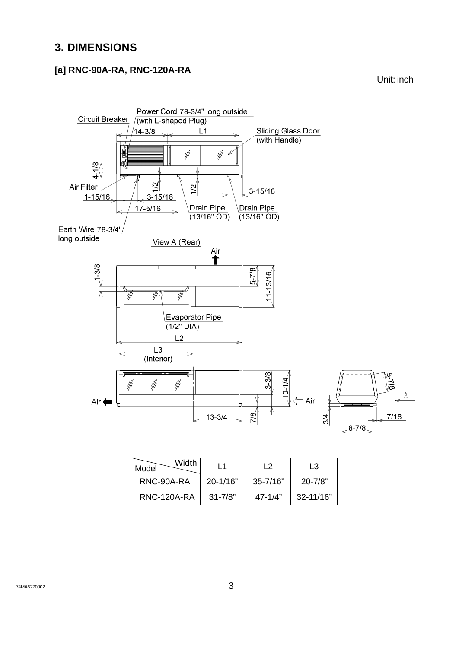# **3. DIMENSIONS**

#### **[a] RNC-90A-RA, RNC-120A-RA**



| Width<br>Model     | l 1          | l 2          | I 3           |
|--------------------|--------------|--------------|---------------|
| RNC-90A-RA         | $20 - 1/16"$ | $35 - 7/16"$ | $20 - 7/8"$   |
| <b>RNC-120A-RA</b> | $31 - 7/8"$  | $47 - 1/4"$  | $32 - 11/16"$ |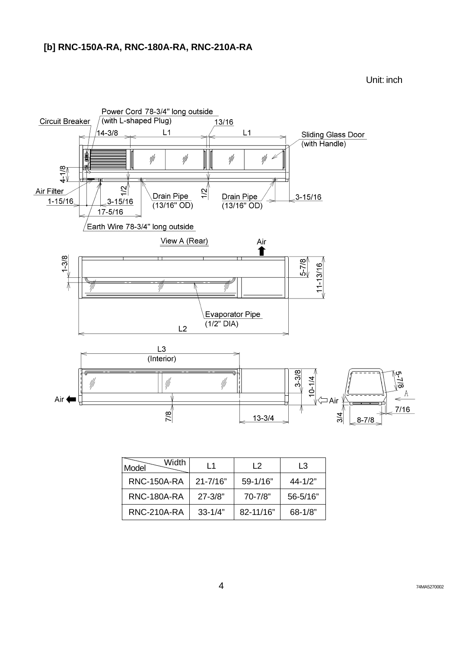#### **[b] RNC-150A-RA, RNC-180A-RA, RNC-210A-RA**



| Width<br>Model     | l 1          | l 2          | I 3         |
|--------------------|--------------|--------------|-------------|
| <b>RNC-150A-RA</b> | $21 - 7/16"$ | $59 - 1/16"$ | $44 - 1/2"$ |
| <b>RNC-180A-RA</b> | $27 - 3/8"$  | 70-7/8"      | 56-5/16"    |
| <b>RNC-210A-RA</b> | $33 - 1/4"$  | 82-11/16"    | $68 - 1/8$  |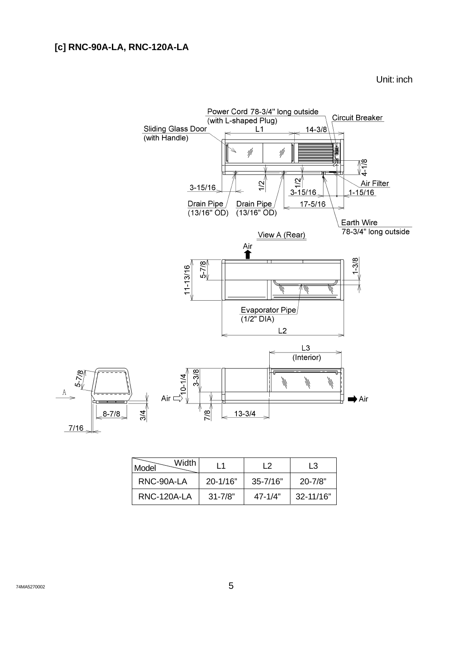#### **[c] RNC-90A-LA, RNC-120A-LA**



| Width<br>Model | l 1          | l 2          | I 3           |
|----------------|--------------|--------------|---------------|
| RNC-90A-LA     | $20 - 1/16"$ | $35 - 7/16"$ | $20 - 7/8"$   |
| RNC-120A-LA    | $31 - 7/8"$  | $47 - 1/4"$  | $32 - 11/16"$ |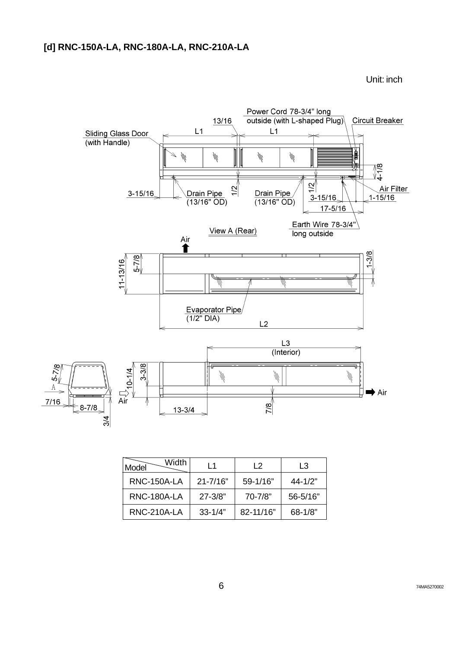

| Width<br>Model     | l 1          | $\overline{2}$ | L3           |
|--------------------|--------------|----------------|--------------|
| RNC-150A-LA        | $21 - 7/16"$ | $59 - 1/16"$   | $44 - 1/2"$  |
| RNC-180A-LA        | $27 - 3/8"$  | $70 - 7/8"$    | 56-5/16"     |
| <b>RNC-210A-LA</b> | $33 - 1/4"$  | $82 - 11/16"$  | $68 - 1/8$ " |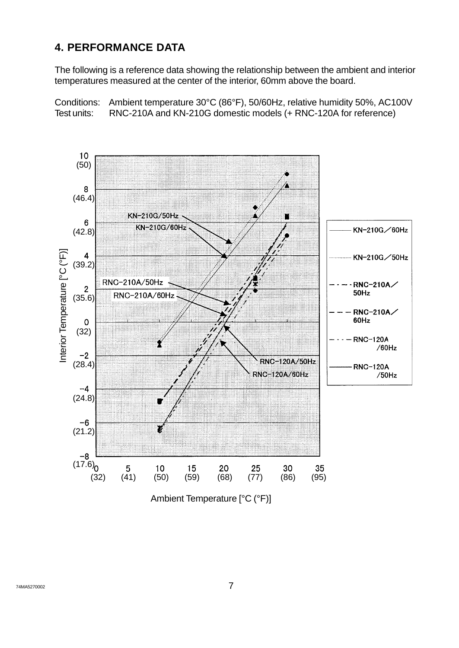#### **4. PERFORMANCE DATA**

The following is a reference data showing the relationship between the ambient and interior temperatures measured at the center of the interior, 60mm above the board.

Conditions: Ambient temperature 30°C (86°F), 50/60Hz, relative humidity 50%, AC100V Test units: RNC-210A and KN-210G domestic models (+ RNC-120A for reference)

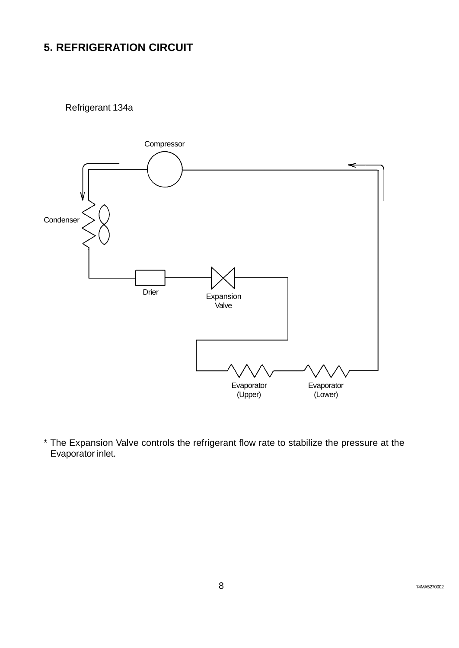# **5. REFRIGERATION CIRCUIT**

Refrigerant 134a



\* The Expansion Valve controls the refrigerant flow rate to stabilize the pressure at the Evaporator inlet.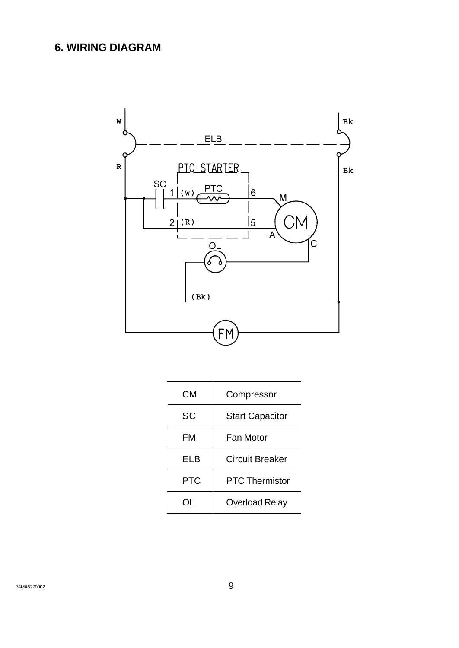# **6. WIRING DIAGRAM**



| CМ         | Compressor             |  |
|------------|------------------------|--|
| SC         | <b>Start Capacitor</b> |  |
| FM         | Fan Motor              |  |
| ELB        | <b>Circuit Breaker</b> |  |
| <b>PTC</b> | <b>PTC Thermistor</b>  |  |
|            | <b>Overload Relay</b>  |  |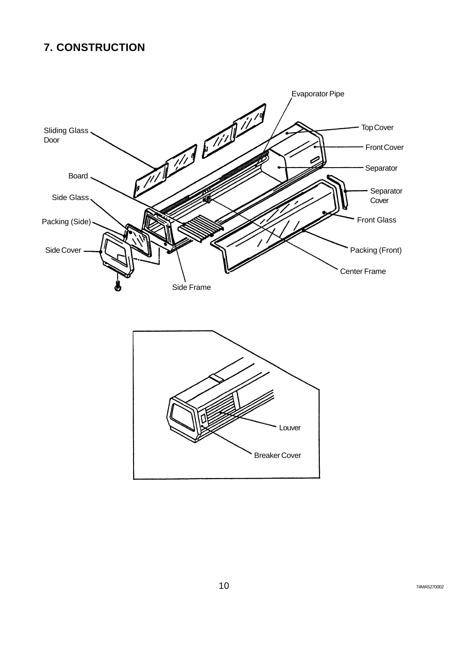# **7. CONSTRUCTION**

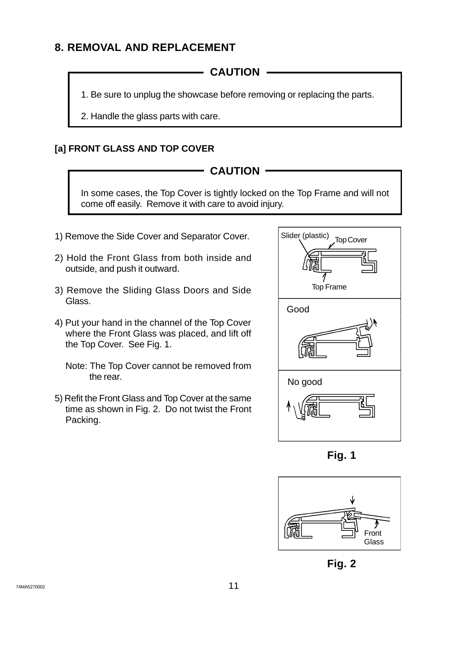#### **8. REMOVAL AND REPLACEMENT**

**CAUTION**

1. Be sure to unplug the showcase before removing or replacing the parts.

2. Handle the glass parts with care.

#### **[a] FRONT GLASS AND TOP COVER**

#### **CAUTION**

In some cases, the Top Cover is tightly locked on the Top Frame and will not come off easily. Remove it with care to avoid injury.

- 1) Remove the Side Cover and Separator Cover.
- 2) Hold the Front Glass from both inside and outside, and push it outward.
- 3) Remove the Sliding Glass Doors and Side Glass.
- 4) Put your hand in the channel of the Top Cover where the Front Glass was placed, and lift off the Top Cover. See Fig. 1.
	- Note: The Top Cover cannot be removed from the rear.
- 5) Refit the Front Glass and Top Cover at the same time as shown in Fig. 2. Do not twist the Front Packing.







**Fig. 2**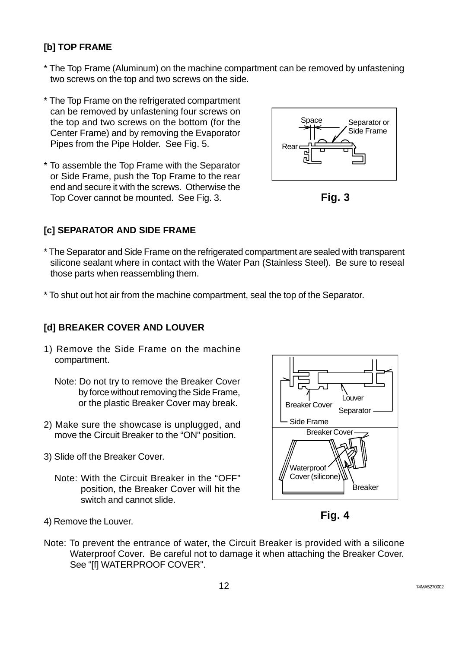#### **[b] TOP FRAME**

- \* The Top Frame (Aluminum) on the machine compartment can be removed by unfastening two screws on the top and two screws on the side.
- \* The Top Frame on the refrigerated compartment can be removed by unfastening four screws on the top and two screws on the bottom (for the Center Frame) and by removing the Evaporator Pipes from the Pipe Holder. See Fig. 5.
- \* To assemble the Top Frame with the Separator or Side Frame, push the Top Frame to the rear end and secure it with the screws. Otherwise the Top Cover cannot be mounted. See Fig. 3.

# Separator or Side Frame Space Rear



#### **[c] SEPARATOR AND SIDE FRAME**

- \* The Separator and Side Frame on the refrigerated compartment are sealed with transparent silicone sealant where in contact with the Water Pan (Stainless Steel). Be sure to reseal those parts when reassembling them.
- \* To shut out hot air from the machine compartment, seal the top of the Separator.

#### **[d] BREAKER COVER AND LOUVER**

- 1) Remove the Side Frame on the machine compartment.
	- Note: Do not try to remove the Breaker Cover by force without removing the Side Frame, or the plastic Breaker Cover may break.
- 2) Make sure the showcase is unplugged, and move the Circuit Breaker to the "ON" position.
- 3) Slide off the Breaker Cover.
	- Note: With the Circuit Breaker in the "OFF" position, the Breaker Cover will hit the switch and cannot slide.



**Fig. 4**

- 4) Remove the Louver.
- Note: To prevent the entrance of water, the Circuit Breaker is provided with a silicone Waterproof Cover. Be careful not to damage it when attaching the Breaker Cover. See "[f] WATERPROOF COVER".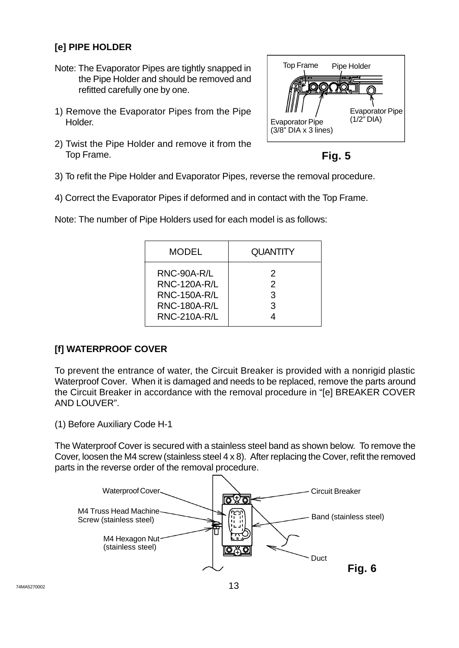#### **[e] PIPE HOLDER**

- Note: The Evaporator Pipes are tightly snapped in the Pipe Holder and should be removed and refitted carefully one by one.
- 1) Remove the Evaporator Pipes from the Pipe Holder.
- 2) Twist the Pipe Holder and remove it from the Top Frame.



**Fig. 5**

- 3) To refit the Pipe Holder and Evaporator Pipes, reverse the removal procedure.
- 4) Correct the Evaporator Pipes if deformed and in contact with the Top Frame.

| <b>MODEL</b>                                                                                            | <b>QUANTITY</b>              |
|---------------------------------------------------------------------------------------------------------|------------------------------|
| RNC-90A-R/L<br><b>RNC-120A-R/L</b><br><b>RNC-150A-R/L</b><br><b>RNC-180A-R/L</b><br><b>RNC-210A-R/L</b> | 2<br>$\mathcal{P}$<br>3<br>3 |

Note: The number of Pipe Holders used for each model is as follows:

#### **[f] WATERPROOF COVER**

To prevent the entrance of water, the Circuit Breaker is provided with a nonrigid plastic Waterproof Cover. When it is damaged and needs to be replaced, remove the parts around the Circuit Breaker in accordance with the removal procedure in "[e] BREAKER COVER AND LOUVER".

(1) Before Auxiliary Code H-1

The Waterproof Cover is secured with a stainless steel band as shown below. To remove the Cover, loosen the M4 screw (stainless steel 4 x 8). After replacing the Cover, refit the removed parts in the reverse order of the removal procedure.

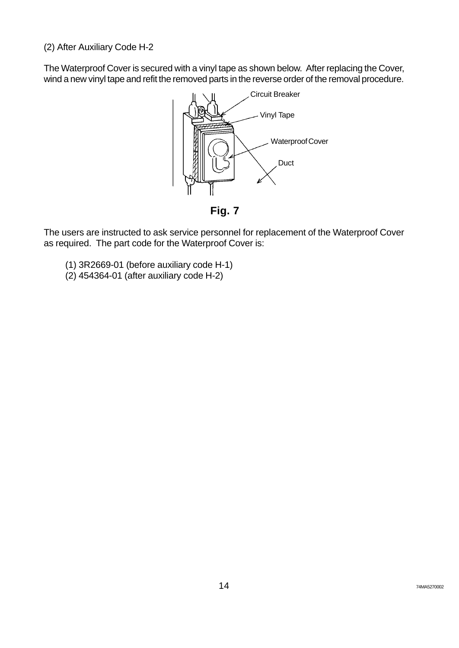(2) After Auxiliary Code H-2

The Waterproof Cover is secured with a vinyl tape as shown below. After replacing the Cover, wind a new vinyl tape and refit the removed parts in the reverse order of the removal procedure.



The users are instructed to ask service personnel for replacement of the Waterproof Cover as required. The part code for the Waterproof Cover is:

- (1) 3R2669-01 (before auxiliary code H-1)
- (2) 454364-01 (after auxiliary code H-2)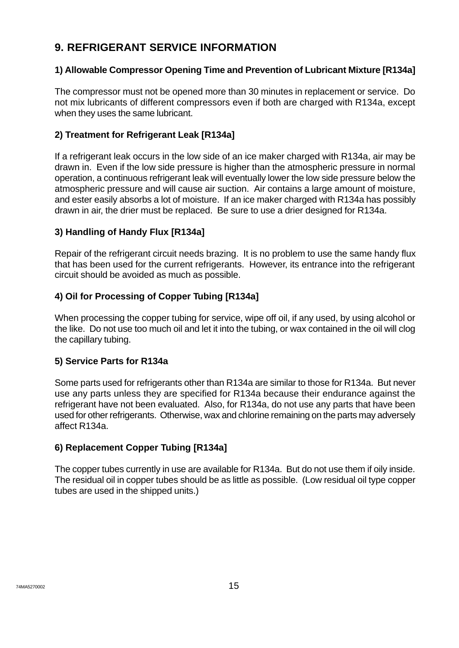### **9. REFRIGERANT SERVICE INFORMATION**

#### **1) Allowable Compressor Opening Time and Prevention of Lubricant Mixture [R134a]**

The compressor must not be opened more than 30 minutes in replacement or service. Do not mix lubricants of different compressors even if both are charged with R134a, except when they uses the same lubricant.

#### **2) Treatment for Refrigerant Leak [R134a]**

If a refrigerant leak occurs in the low side of an ice maker charged with R134a, air may be drawn in. Even if the low side pressure is higher than the atmospheric pressure in normal operation, a continuous refrigerant leak will eventually lower the low side pressure below the atmospheric pressure and will cause air suction. Air contains a large amount of moisture, and ester easily absorbs a lot of moisture. If an ice maker charged with R134a has possibly drawn in air, the drier must be replaced. Be sure to use a drier designed for R134a.

#### **3) Handling of Handy Flux [R134a]**

Repair of the refrigerant circuit needs brazing. It is no problem to use the same handy flux that has been used for the current refrigerants. However, its entrance into the refrigerant circuit should be avoided as much as possible.

#### **4) Oil for Processing of Copper Tubing [R134a]**

When processing the copper tubing for service, wipe off oil, if any used, by using alcohol or the like. Do not use too much oil and let it into the tubing, or wax contained in the oil will clog the capillary tubing.

#### **5) Service Parts for R134a**

Some parts used for refrigerants other than R134a are similar to those for R134a. But never use any parts unless they are specified for R134a because their endurance against the refrigerant have not been evaluated. Also, for R134a, do not use any parts that have been used for other refrigerants. Otherwise, wax and chlorine remaining on the parts may adversely affect R134a.

#### **6) Replacement Copper Tubing [R134a]**

The copper tubes currently in use are available for R134a. But do not use them if oily inside. The residual oil in copper tubes should be as little as possible. (Low residual oil type copper tubes are used in the shipped units.)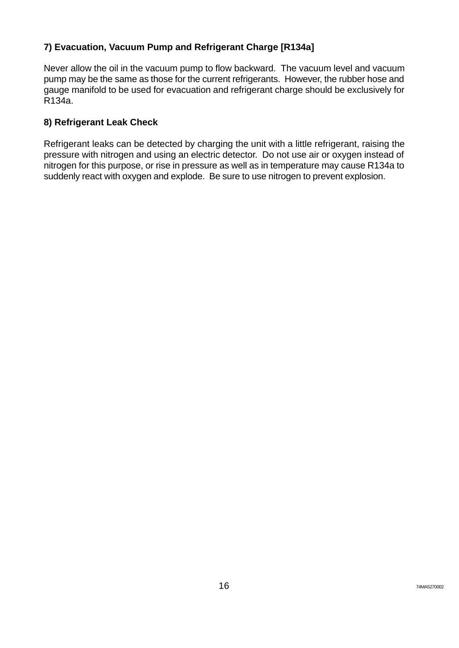#### **7) Evacuation, Vacuum Pump and Refrigerant Charge [R134a]**

Never allow the oil in the vacuum pump to flow backward. The vacuum level and vacuum pump may be the same as those for the current refrigerants. However, the rubber hose and gauge manifold to be used for evacuation and refrigerant charge should be exclusively for R134a.

#### **8) Refrigerant Leak Check**

Refrigerant leaks can be detected by charging the unit with a little refrigerant, raising the pressure with nitrogen and using an electric detector. Do not use air or oxygen instead of nitrogen for this purpose, or rise in pressure as well as in temperature may cause R134a to suddenly react with oxygen and explode. Be sure to use nitrogen to prevent explosion.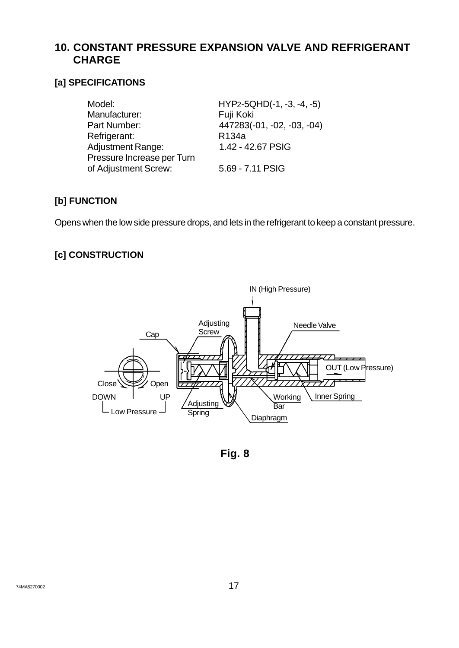#### **10. CONSTANT PRESSURE EXPANSION VALVE AND REFRIGERANT CHARGE**

#### **[a] SPECIFICATIONS**

| Model:                     | $HYP2-5QHD(-1, -3, -4, -5)$ |
|----------------------------|-----------------------------|
| Manufacturer:              | Fuji Koki                   |
| Part Number:               | 447283(-01, -02, -03, -04)  |
| Refrigerant:               | R <sub>134</sub> a          |
| <b>Adjustment Range:</b>   | 1.42 - 42.67 PSIG           |
| Pressure Increase per Turn |                             |
| of Adjustment Screw:       | 5.69 - 7.11 PSIG            |
|                            |                             |

#### **[b] FUNCTION**

Opens when the low side pressure drops, and lets in the refrigerant to keep a constant pressure.

#### **[c] CONSTRUCTION**



**Fig. 8**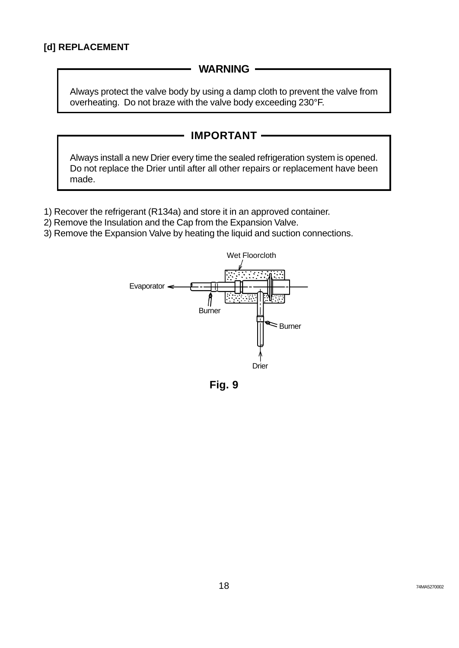#### **WARNING**

Always protect the valve body by using a damp cloth to prevent the valve from overheating. Do not braze with the valve body exceeding 230°F.



- 1) Recover the refrigerant (R134a) and store it in an approved container.
- 2) Remove the Insulation and the Cap from the Expansion Valve.
- 3) Remove the Expansion Valve by heating the liquid and suction connections.



**Fig. 9**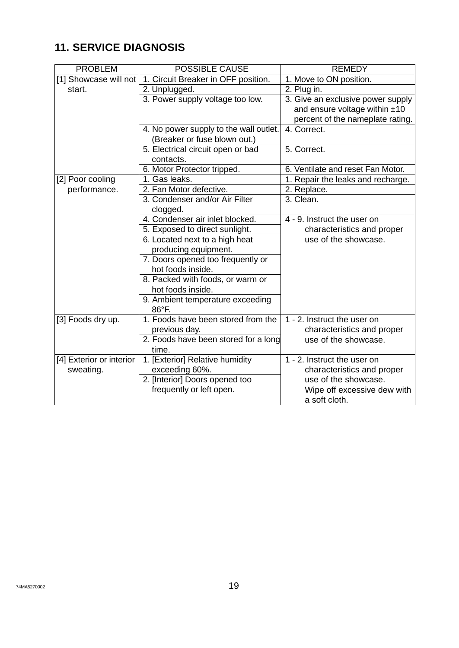# **11. SERVICE DIAGNOSIS**

| <b>PROBLEM</b>           | <b>POSSIBLE CAUSE</b>                  | <b>REMEDY</b>                     |
|--------------------------|----------------------------------------|-----------------------------------|
| [1] Showcase will not    | 1. Circuit Breaker in OFF position.    | 1. Move to ON position.           |
| start.                   | 2. Unplugged.                          | 2. Plug in.                       |
|                          | 3. Power supply voltage too low.       | 3. Give an exclusive power supply |
|                          |                                        | and ensure voltage within ±10     |
|                          |                                        | percent of the nameplate rating.  |
|                          | 4. No power supply to the wall outlet. | 4. Correct.                       |
|                          | (Breaker or fuse blown out.)           |                                   |
|                          | 5. Electrical circuit open or bad      | 5. Correct.                       |
|                          | contacts.                              |                                   |
|                          | 6. Motor Protector tripped.            | 6. Ventilate and reset Fan Motor. |
| [2] Poor cooling         | 1. Gas leaks.                          | 1. Repair the leaks and recharge. |
| performance.             | 2. Fan Motor defective.                | 2. Replace.                       |
|                          | 3. Condenser and/or Air Filter         | 3. Clean.                         |
|                          | clogged.                               |                                   |
|                          | 4. Condenser air inlet blocked.        | 4 - 9. Instruct the user on       |
|                          | 5. Exposed to direct sunlight.         | characteristics and proper        |
|                          | 6. Located next to a high heat         | use of the showcase.              |
|                          | producing equipment.                   |                                   |
|                          | 7. Doors opened too frequently or      |                                   |
|                          | hot foods inside.                      |                                   |
|                          | 8. Packed with foods, or warm or       |                                   |
|                          | hot foods inside.                      |                                   |
|                          | 9. Ambient temperature exceeding       |                                   |
|                          | 86°F.                                  |                                   |
| [3] Foods dry up.        | 1. Foods have been stored from the     | 1 - 2. Instruct the user on       |
|                          | previous day.                          | characteristics and proper        |
|                          | 2. Foods have been stored for a long   | use of the showcase.              |
|                          | time.                                  |                                   |
| [4] Exterior or interior | 1. [Exterior] Relative humidity        | 1 - 2. Instruct the user on       |
| sweating.                | exceeding 60%.                         | characteristics and proper        |
|                          | 2. [Interior] Doors opened too         | use of the showcase.              |
|                          | frequently or left open.               | Wipe off excessive dew with       |
|                          |                                        | a soft cloth.                     |